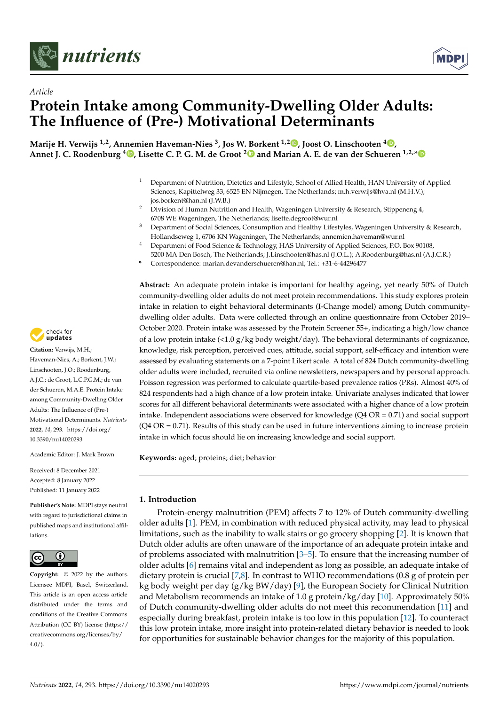



# *Article* **Protein Intake among Community-Dwelling Older Adults: The Influence of (Pre-) Motivational Determinants**

**Marije H. Verwijs 1,2, Annemien Haveman-Nies <sup>3</sup> , Jos W. Borkent 1,2 [,](https://orcid.org/0000-0001-8718-4102) Joost O. Linschooten <sup>4</sup> [,](https://orcid.org/0000-0001-6832-3701) Annet J. C. Roodenburg <sup>4</sup> [,](https://orcid.org/0000-0003-2320-8229) Lisette C. P. G. M. de Groot [2](https://orcid.org/0000-0003-2778-2789) and Marian A. E. de van der Schueren 1,2,[\\*](https://orcid.org/0000-0001-5693-0811)**

- <sup>1</sup> Department of Nutrition, Dietetics and Lifestyle, School of Allied Health, HAN University of Applied Sciences, Kapittelweg 33, 6525 EN Nijmegen, The Netherlands; m.h.verwijs@hva.nl (M.H.V.); jos.borkent@han.nl (J.W.B.)
- <sup>2</sup> Division of Human Nutrition and Health, Wageningen University & Research, Stippeneng 4, 6708 WE Wageningen, The Netherlands; lisette.degroot@wur.nl
- <sup>3</sup> Department of Social Sciences, Consumption and Healthy Lifestyles, Wageningen University & Research, Hollandseweg 1, 6706 KN Wageningen, The Netherlands; annemien.haveman@wur.nl
- <sup>4</sup> Department of Food Science & Technology, HAS University of Applied Sciences, P.O. Box 90108,
- 5200 MA Den Bosch, The Netherlands; J.Linschooten@has.nl (J.O.L.); A.Roodenburg@has.nl (A.J.C.R.) **\*** Correspondence: marian.devanderschueren@han.nl; Tel.: +31-6-44296477

**Abstract:** An adequate protein intake is important for healthy ageing, yet nearly 50% of Dutch community-dwelling older adults do not meet protein recommendations. This study explores protein intake in relation to eight behavioral determinants (I-Change model) among Dutch communitydwelling older adults. Data were collected through an online questionnaire from October 2019– October 2020. Protein intake was assessed by the Protein Screener 55+, indicating a high/low chance of a low protein intake  $\left\langle 1.0 g/kg \right\rangle$  weight/day). The behavioral determinants of cognizance, knowledge, risk perception, perceived cues, attitude, social support, self-efficacy and intention were assessed by evaluating statements on a 7-point Likert scale. A total of 824 Dutch community-dwelling older adults were included, recruited via online newsletters, newspapers and by personal approach. Poisson regression was performed to calculate quartile-based prevalence ratios (PRs). Almost 40% of 824 respondents had a high chance of a low protein intake. Univariate analyses indicated that lower scores for all different behavioral determinants were associated with a higher chance of a low protein intake. Independent associations were observed for knowledge  $(Q4 \text{ OR} = 0.71)$  and social support (Q4 OR = 0.71). Results of this study can be used in future interventions aiming to increase protein intake in which focus should lie on increasing knowledge and social support.

**Keywords:** aged; proteins; diet; behavior

# **1. Introduction**

Protein-energy malnutrition (PEM) affects 7 to 12% of Dutch community-dwelling older adults [\[1\]](#page-10-0). PEM, in combination with reduced physical activity, may lead to physical limitations, such as the inability to walk stairs or go grocery shopping [\[2\]](#page-10-1). It is known that Dutch older adults are often unaware of the importance of an adequate protein intake and of problems associated with malnutrition  $[3-5]$  $[3-5]$ . To ensure that the increasing number of older adults [\[6\]](#page-10-4) remains vital and independent as long as possible, an adequate intake of dietary protein is crucial [\[7](#page-10-5)[,8\]](#page-10-6). In contrast to WHO recommendations (0.8 g of protein per kg body weight per day (g/kg BW/day) [\[9\]](#page-10-7), the European Society for Clinical Nutrition and Metabolism recommends an intake of 1.0 g protein/kg/day [\[10\]](#page-10-8). Approximately 50% of Dutch community-dwelling older adults do not meet this recommendation [\[11\]](#page-10-9) and especially during breakfast, protein intake is too low in this population [\[12\]](#page-10-10). To counteract this low protein intake, more insight into protein-related dietary behavior is needed to look for opportunities for sustainable behavior changes for the majority of this population.



**Citation:** Verwijs, M.H.; Haveman-Nies, A.; Borkent, J.W.; Linschooten, J.O.; Roodenburg, A.J.C.; de Groot, L.C.P.G.M.; de van der Schueren, M.A.E. Protein Intake among Community-Dwelling Older Adults: The Influence of (Pre-) Motivational Determinants. *Nutrients* **2022**, *14*, 293. [https://doi.org/](https://doi.org/10.3390/nu14020293) [10.3390/nu14020293](https://doi.org/10.3390/nu14020293)

Academic Editor: J. Mark Brown

Received: 8 December 2021 Accepted: 8 January 2022 Published: 11 January 2022

**Publisher's Note:** MDPI stays neutral with regard to jurisdictional claims in published maps and institutional affiliations.



**Copyright:** © 2022 by the authors. Licensee MDPI, Basel, Switzerland. This article is an open access article distributed under the terms and conditions of the Creative Commons Attribution (CC BY) license [\(https://](https://creativecommons.org/licenses/by/4.0/) [creativecommons.org/licenses/by/](https://creativecommons.org/licenses/by/4.0/)  $4.0/$ ).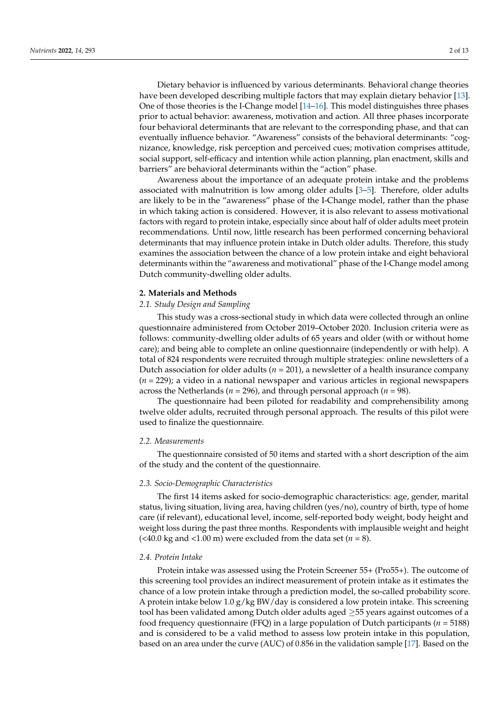Dietary behavior is influenced by various determinants. Behavioral change theories have been developed describing multiple factors that may explain dietary behavior [\[13\]](#page-11-0). One of those theories is the I-Change model [\[14–](#page-11-1)[16\]](#page-11-2). This model distinguishes three phases prior to actual behavior: awareness, motivation and action. All three phases incorporate four behavioral determinants that are relevant to the corresponding phase, and that can eventually influence behavior. "Awareness" consists of the behavioral determinants: "cognizance, knowledge, risk perception and perceived cues; motivation comprises attitude, social support, self-efficacy and intention while action planning, plan enactment, skills and barriers" are behavioral determinants within the "action" phase.

Awareness about the importance of an adequate protein intake and the problems associated with malnutrition is low among older adults [\[3–](#page-10-2)[5\]](#page-10-3). Therefore, older adults are likely to be in the "awareness" phase of the I-Change model, rather than the phase in which taking action is considered. However, it is also relevant to assess motivational factors with regard to protein intake, especially since about half of older adults meet protein recommendations. Until now, little research has been performed concerning behavioral determinants that may influence protein intake in Dutch older adults. Therefore, this study examines the association between the chance of a low protein intake and eight behavioral determinants within the "awareness and motivational" phase of the I-Change model among Dutch community-dwelling older adults.

#### **2. Materials and Methods**

#### *2.1. Study Design and Sampling*

This study was a cross-sectional study in which data were collected through an online questionnaire administered from October 2019–October 2020. Inclusion criteria were as follows: community-dwelling older adults of 65 years and older (with or without home care); and being able to complete an online questionnaire (independently or with help). A total of 824 respondents were recruited through multiple strategies: online newsletters of a Dutch association for older adults ( $n = 201$ ), a newsletter of a health insurance company (*n* = 229); a video in a national newspaper and various articles in regional newspapers across the Netherlands ( $n = 296$ ), and through personal approach ( $n = 98$ ).

The questionnaire had been piloted for readability and comprehensibility among twelve older adults, recruited through personal approach. The results of this pilot were used to finalize the questionnaire.

## *2.2. Measurements*

The questionnaire consisted of 50 items and started with a short description of the aim of the study and the content of the questionnaire.

## *2.3. Socio-Demographic Characteristics*

The first 14 items asked for socio-demographic characteristics: age, gender, marital status, living situation, living area, having children (yes/no), country of birth, type of home care (if relevant), educational level, income, self-reported body weight, body height and weight loss during the past three months. Respondents with implausible weight and height (<40.0 kg and <1.00 m) were excluded from the data set ( $n = 8$ ).

# *2.4. Protein Intake*

Protein intake was assessed using the Protein Screener 55+ (Pro55+). The outcome of this screening tool provides an indirect measurement of protein intake as it estimates the chance of a low protein intake through a prediction model, the so-called probability score. A protein intake below  $1.0 g/kg BW/day$  is considered a low protein intake. This screening tool has been validated among Dutch older adults aged  $\geq$ 55 years against outcomes of a food frequency questionnaire (FFQ) in a large population of Dutch participants ( $n = 5188$ ) and is considered to be a valid method to assess low protein intake in this population, based on an area under the curve (AUC) of 0.856 in the validation sample [\[17\]](#page-11-3). Based on the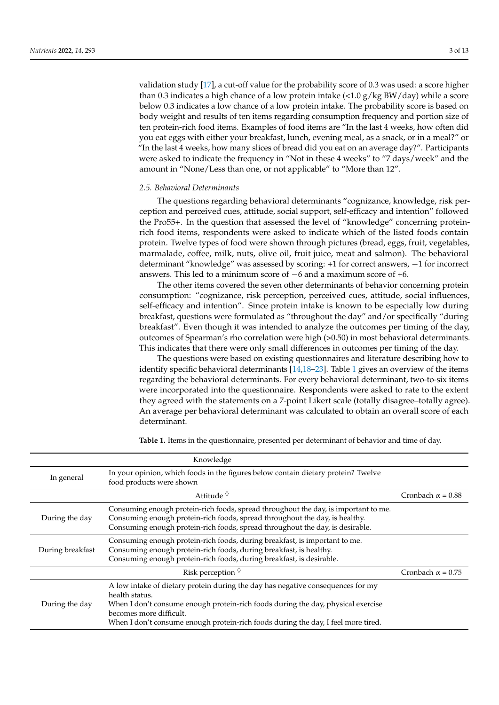validation study [\[17\]](#page-11-3), a cut-off value for the probability score of 0.3 was used: a score higher than 0.3 indicates a high chance of a low protein intake  $\langle$  <1.0 g/kg BW/day) while a score below 0.3 indicates a low chance of a low protein intake. The probability score is based on body weight and results of ten items regarding consumption frequency and portion size of ten protein-rich food items. Examples of food items are "In the last 4 weeks, how often did you eat eggs with either your breakfast, lunch, evening meal, as a snack, or in a meal?" or "In the last 4 weeks, how many slices of bread did you eat on an average day?". Participants were asked to indicate the frequency in "Not in these 4 weeks" to "7 days/week" and the amount in "None/Less than one, or not applicable" to "More than 12".

## *2.5. Behavioral Determinants*

The questions regarding behavioral determinants "cognizance, knowledge, risk perception and perceived cues, attitude, social support, self-efficacy and intention" followed the Pro55+. In the question that assessed the level of "knowledge" concerning proteinrich food items, respondents were asked to indicate which of the listed foods contain protein. Twelve types of food were shown through pictures (bread, eggs, fruit, vegetables, marmalade, coffee, milk, nuts, olive oil, fruit juice, meat and salmon). The behavioral determinant "knowledge" was assessed by scoring: +1 for correct answers, −1 for incorrect answers. This led to a minimum score of −6 and a maximum score of +6.

The other items covered the seven other determinants of behavior concerning protein consumption: "cognizance, risk perception, perceived cues, attitude, social influences, self-efficacy and intention". Since protein intake is known to be especially low during breakfast, questions were formulated as "throughout the day" and/or specifically "during breakfast". Even though it was intended to analyze the outcomes per timing of the day, outcomes of Spearman's rho correlation were high (>0.50) in most behavioral determinants. This indicates that there were only small differences in outcomes per timing of the day.

The questions were based on existing questionnaires and literature describing how to identify specific behavioral determinants [\[14](#page-11-1)[,18](#page-11-4)[–23\]](#page-11-5). Table [1](#page-2-0) gives an overview of the items regarding the behavioral determinants. For every behavioral determinant, two-to-six items were incorporated into the questionnaire. Respondents were asked to rate to the extent they agreed with the statements on a 7-point Likert scale (totally disagree–totally agree). An average per behavioral determinant was calculated to obtain an overall score of each determinant.

<span id="page-2-0"></span>**Table 1.** Items in the questionnaire, presented per determinant of behavior and time of day.

|                  | Knowledge                                                                                                                                                                                                                                                                                             |                          |
|------------------|-------------------------------------------------------------------------------------------------------------------------------------------------------------------------------------------------------------------------------------------------------------------------------------------------------|--------------------------|
| In general       | In your opinion, which foods in the figures below contain dietary protein? Twelve<br>food products were shown                                                                                                                                                                                         |                          |
|                  | Attitude $\Diamond$                                                                                                                                                                                                                                                                                   | Cronbach $\alpha$ = 0.88 |
| During the day   | Consuming enough protein-rich foods, spread throughout the day, is important to me.<br>Consuming enough protein-rich foods, spread throughout the day, is healthy.<br>Consuming enough protein-rich foods, spread throughout the day, is desirable.                                                   |                          |
| During breakfast | Consuming enough protein-rich foods, during breakfast, is important to me.<br>Consuming enough protein-rich foods, during breakfast, is healthy.<br>Consuming enough protein-rich foods, during breakfast, is desirable.                                                                              |                          |
|                  | Risk perception $\Diamond$                                                                                                                                                                                                                                                                            | Cronbach $\alpha$ = 0.75 |
| During the day   | A low intake of dietary protein during the day has negative consequences for my<br>health status.<br>When I don't consume enough protein-rich foods during the day, physical exercise<br>becomes more difficult.<br>When I don't consume enough protein-rich foods during the day, I feel more tired. |                          |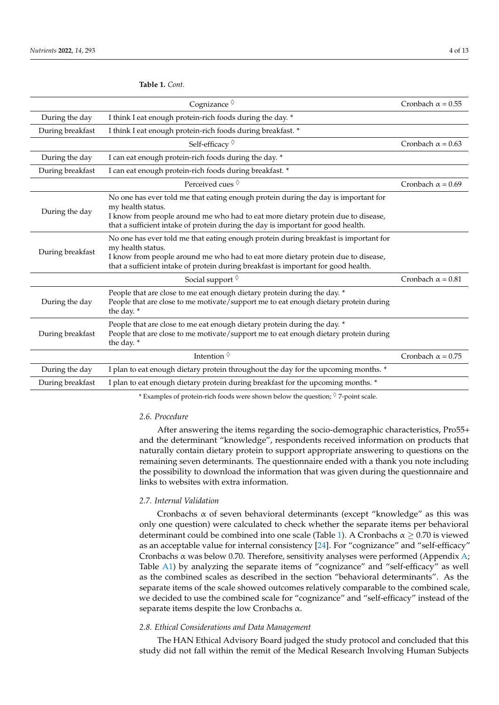Cognizance  $\Diamond$  Cronbach  $\alpha = 0.55$ During the day I think I eat enough protein-rich foods during the day. \* During breakfast I think I eat enough protein-rich foods during breakfast. \* Self-efficacy  $\Diamond$  Cronbach  $\alpha = 0.63$ During the day I can eat enough protein-rich foods during the day. \* During breakfast I can eat enough protein-rich foods during breakfast. \* Perceived cues  $\sqrt[6]{ }$  Cronbach  $\alpha = 0.69$ During the day No one has ever told me that eating enough protein during the day is important for my health status. I know from people around me who had to eat more dietary protein due to disease, that a sufficient intake of protein during the day is important for good health. During breakfast No one has ever told me that eating enough protein during breakfast is important for my health status. I know from people around me who had to eat more dietary protein due to disease, that a sufficient intake of protein during breakfast is important for good health. Social support  $\Diamond$  Cronbach  $\alpha = 0.81$ During the day People that are close to me eat enough dietary protein during the day. \* People that are close to me motivate/support me to eat enough dietary protein during the day. \* During breakfast People that are close to me eat enough dietary protein during the day. \* People that are close to me motivate/support me to eat enough dietary protein during the day. \* Intention  $\sqrt[6]{ }$  Cronbach  $\alpha = 0.75$ During the day I plan to eat enough dietary protein throughout the day for the upcoming months. \* During breakfast I plan to eat enough dietary protein during breakfast for the upcoming months. \*

\* Examples of protein-rich foods were shown below the question;  $\Diamond$  7-point scale.

## *2.6. Procedure*

After answering the items regarding the socio-demographic characteristics, Pro55+ and the determinant "knowledge", respondents received information on products that naturally contain dietary protein to support appropriate answering to questions on the remaining seven determinants. The questionnaire ended with a thank you note including the possibility to download the information that was given during the questionnaire and links to websites with extra information.

## *2.7. Internal Validation*

Cronbachs  $\alpha$  of seven behavioral determinants (except "knowledge" as this was only one question) were calculated to check whether the separate items per behavioral determinant could be combined into one scale (Table [1\)](#page-2-0). A Cronbachs  $\alpha \geq 0.70$  is viewed as an acceptable value for internal consistency [\[24\]](#page-11-6). For "cognizance" and "self-efficacy" Cronbachs  $\alpha$  was below 0.70. Therefore, sensitivity analyses were performed (Appendix [A;](#page-9-0) Table [A1\)](#page-9-1) by analyzing the separate items of "cognizance" and "self-efficacy" as well as the combined scales as described in the section "behavioral determinants". As the separate items of the scale showed outcomes relatively comparable to the combined scale, we decided to use the combined scale for "cognizance" and "self-efficacy" instead of the separate items despite the low Cronbachs  $\alpha$ .

## *2.8. Ethical Considerations and Data Management*

The HAN Ethical Advisory Board judged the study protocol and concluded that this study did not fall within the remit of the Medical Research Involving Human Subjects

**Table 1.** *Cont.*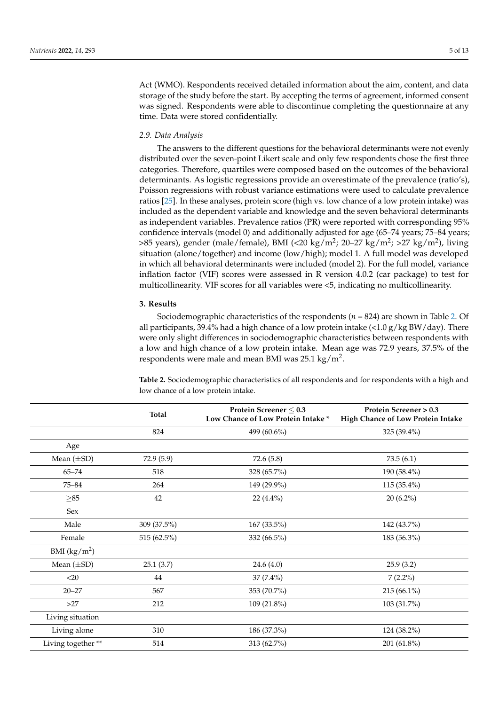Act (WMO). Respondents received detailed information about the aim, content, and data storage of the study before the start. By accepting the terms of agreement, informed consent was signed. Respondents were able to discontinue completing the questionnaire at any time. Data were stored confidentially.

#### *2.9. Data Analysis*

The answers to the different questions for the behavioral determinants were not evenly distributed over the seven-point Likert scale and only few respondents chose the first three categories. Therefore, quartiles were composed based on the outcomes of the behavioral determinants. As logistic regressions provide an overestimate of the prevalence (ratio's), Poisson regressions with robust variance estimations were used to calculate prevalence ratios [\[25\]](#page-11-7). In these analyses, protein score (high vs. low chance of a low protein intake) was included as the dependent variable and knowledge and the seven behavioral determinants as independent variables. Prevalence ratios (PR) were reported with corresponding 95% confidence intervals (model 0) and additionally adjusted for age (65–74 years; 75–84 years; >85 years), gender (male/female), BMI (<20 kg/m<sup>2</sup>; 20–27 kg/m<sup>2</sup>; >27 kg/m<sup>2</sup>), living situation (alone/together) and income (low/high); model 1. A full model was developed in which all behavioral determinants were included (model 2). For the full model, variance inflation factor (VIF) scores were assessed in R version 4.0.2 (car package) to test for multicollinearity. VIF scores for all variables were <5, indicating no multicollinearity.

## **3. Results**

Sociodemographic characteristics of the respondents (*n* = 824) are shown in Table [2.](#page-4-0) Of all participants, 39.4% had a high chance of a low protein intake  $\left\langle \frac{2.0 \text{ g}}{\text{kg BW}}/\text{day}\right\rangle$ . There were only slight differences in sociodemographic characteristics between respondents with a low and high chance of a low protein intake. Mean age was 72.9 years, 37.5% of the respondents were male and mean BMI was 25.1 kg/m<sup>2</sup>.

<span id="page-4-0"></span>**Table 2.** Sociodemographic characteristics of all respondents and for respondents with a high and low chance of a low protein intake.

|                   | <b>Total</b> | Protein Screener $\leq 0.3$<br>Low Chance of Low Protein Intake* | Protein Screener > 0.3<br>High Chance of Low Protein Intake |
|-------------------|--------------|------------------------------------------------------------------|-------------------------------------------------------------|
|                   | 824          | 499 (60.6%)                                                      | 325 (39.4%)                                                 |
| Age               |              |                                                                  |                                                             |
| Mean $(\pm SD)$   | 72.9(5.9)    | 72.6(5.8)                                                        | 73.5(6.1)                                                   |
| $65 - 74$         | 518          | 328 (65.7%)                                                      | 190 (58.4%)                                                 |
| $75 - 84$         | 264          | 149 (29.9%)                                                      | 115 (35.4%)                                                 |
| $\geq 85$         | 42           | $22(4.4\%)$                                                      | $20(6.2\%)$                                                 |
| Sex               |              |                                                                  |                                                             |
| Male              | 309 (37.5%)  | 167 (33.5%)                                                      | 142 (43.7%)                                                 |
| Female            | 515 (62.5%)  | 332 (66.5%)                                                      | 183 (56.3%)                                                 |
| BMI $(kg/m^2)$    |              |                                                                  |                                                             |
| Mean $(\pm SD)$   | 25.1(3.7)    | 24.6(4.0)                                                        | 25.9(3.2)                                                   |
| $<$ 20            | 44           | $37(7.4\%)$                                                      | $7(2.2\%)$                                                  |
| $20 - 27$         | 567          | 353 (70.7%)                                                      | 215 (66.1%)                                                 |
| >27               | 212          | 109 (21.8%)                                                      | 103 (31.7%)                                                 |
| Living situation  |              |                                                                  |                                                             |
| Living alone      | 310          | 186 (37.3%)                                                      | 124 (38.2%)                                                 |
| Living together** | 514          | 313 (62.7%)                                                      | 201 (61.8%)                                                 |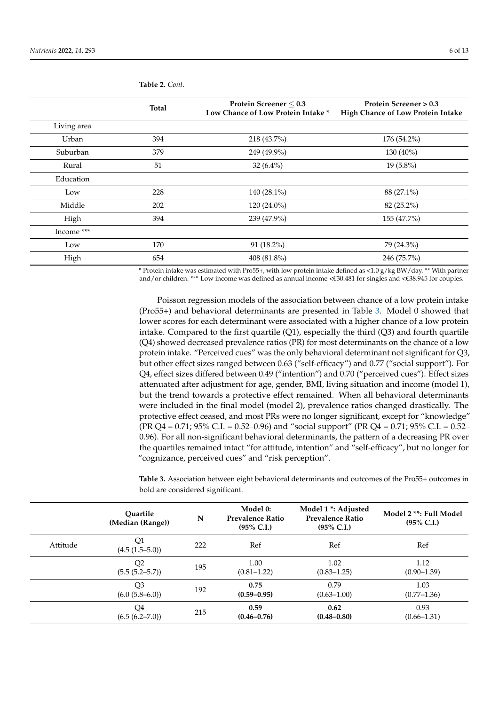|             | <b>Total</b> | Protein Screener $\leq 0.3$<br>Low Chance of Low Protein Intake * | Protein Screener > 0.3<br>High Chance of Low Protein Intake |
|-------------|--------------|-------------------------------------------------------------------|-------------------------------------------------------------|
| Living area |              |                                                                   |                                                             |
| Urban       | 394          | 218 (43.7%)                                                       | 176 (54.2%)                                                 |
| Suburban    | 379          | 249 (49.9%)                                                       | 130 (40%)                                                   |
| Rural       | 51           | 32 $(6.4\%)$                                                      | $19(5.8\%)$                                                 |
| Education   |              |                                                                   |                                                             |
| Low         | 228          | 140 $(28.1\%)$                                                    | 88 (27.1%)                                                  |
| Middle      | 202          | $120(24.0\%)$                                                     | 82 (25.2%)                                                  |
| High        | 394          | 239 (47.9%)                                                       | 155 (47.7%)                                                 |
| Income ***  |              |                                                                   |                                                             |
| Low         | 170          | $91(18.2\%)$                                                      | 79 (24.3%)                                                  |
| High        | 654          | 408 (81.8%)                                                       | 246 (75.7%)                                                 |

**Table 2.** *Cont.*

\* Protein intake was estimated with Pro55+, with low protein intake defined as <1.0 g/kg BW/day. \*\* With partner and/or children. \*\*\* Low income was defined as annual income <€30.481 for singles and <€38.945 for couples.

Poisson regression models of the association between chance of a low protein intake (Pro55+) and behavioral determinants are presented in Table [3.](#page-5-0) Model 0 showed that lower scores for each determinant were associated with a higher chance of a low protein intake. Compared to the first quartile  $(Q1)$ , especially the third  $(Q3)$  and fourth quartile (Q4) showed decreased prevalence ratios (PR) for most determinants on the chance of a low protein intake. "Perceived cues" was the only behavioral determinant not significant for Q3, but other effect sizes ranged between 0.63 ("self-efficacy") and 0.77 ("social support"). For Q4, effect sizes differed between 0.49 ("intention") and 0.70 ("perceived cues"). Effect sizes attenuated after adjustment for age, gender, BMI, living situation and income (model 1), but the trend towards a protective effect remained. When all behavioral determinants were included in the final model (model 2), prevalence ratios changed drastically. The protective effect ceased, and most PRs were no longer significant, except for "knowledge" (PR Q4 = 0.71; 95% C.I. = 0.52–0.96) and "social support" (PR Q4 = 0.71; 95% C.I. = 0.52– 0.96). For all non-significant behavioral determinants, the pattern of a decreasing PR over the quartiles remained intact "for attitude, intention" and "self-efficacy", but no longer for "cognizance, perceived cues" and "risk perception".

<span id="page-5-0"></span>**Table 3.** Association between eight behavioral determinants and outcomes of the Pro55+ outcomes in bold are considered significant.

|          | Ouartile<br>(Median (Range))          | N   | Model 0:<br><b>Prevalence Ratio</b><br>$(95\% \text{ C.I.})$ | Model 1 <sup>*</sup> : Adjusted<br><b>Prevalence Ratio</b><br>$(95\% \text{ C.I.})$ | Model 2 **: Full Model<br>$(95\% \text{ C.I.})$ |
|----------|---------------------------------------|-----|--------------------------------------------------------------|-------------------------------------------------------------------------------------|-------------------------------------------------|
| Attitude | Q1<br>$(4.5(1.5-5.0))$                | 222 | Ref                                                          | Ref                                                                                 | Ref                                             |
|          | Q2<br>$(5.5 (5.2 - 5.7))$             | 195 | 1.00<br>$(0.81 - 1.22)$                                      | 1.02<br>$(0.83 - 1.25)$                                                             | 1.12<br>$(0.90 - 1.39)$                         |
|          | Q <sub>3</sub><br>$(6.0 (5.8 - 6.0))$ | 192 | 0.75<br>$(0.59 - 0.95)$                                      | 0.79<br>$(0.63 - 1.00)$                                                             | 1.03<br>$(0.77 - 1.36)$                         |
|          | Q4<br>(6.5(6.2–7.0))                  | 215 | 0.59<br>$(0.46 - 0.76)$                                      | 0.62<br>$(0.48 - 0.80)$                                                             | 0.93<br>$(0.66 - 1.31)$                         |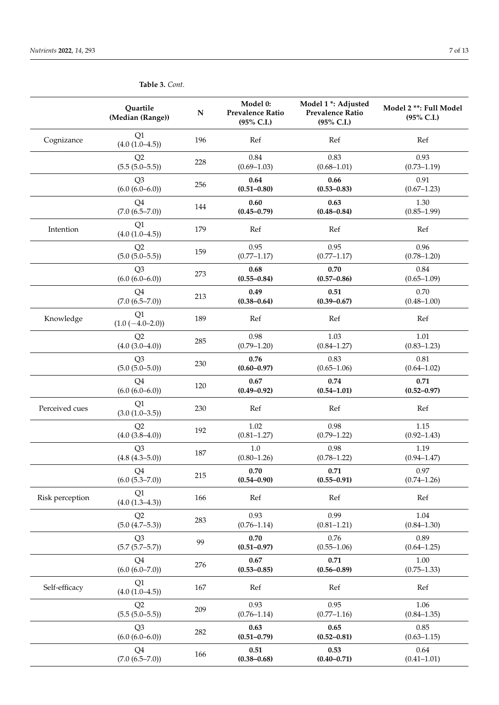|                 | Quartile<br>(Median (Range))          | ${\bf N}$ | Model 0:<br><b>Prevalence Ratio</b><br>(95% C.I.) | Model 1 *: Adjusted<br><b>Prevalence Ratio</b><br>(95% C.I.) | Model 2 **: Full Model<br>(95% C.I.) |
|-----------------|---------------------------------------|-----------|---------------------------------------------------|--------------------------------------------------------------|--------------------------------------|
| Cognizance      | Q1<br>$(4.0 (1.0 - 4.5))$             | 196       | Ref                                               | Ref                                                          | Ref                                  |
|                 | Q2<br>$(5.5(5.0-5.5))$                | 228       | 0.84<br>$(0.69 - 1.03)$                           | 0.83<br>$(0.68 - 1.01)$                                      | 0.93<br>$(0.73 - 1.19)$              |
|                 | Q <sub>3</sub><br>$(6.0 (6.0 - 6.0))$ | 256       | 0.64<br>$(0.51 - 0.80)$                           | 0.66<br>$(0.53 - 0.83)$                                      | 0.91<br>$(0.67 - 1.23)$              |
|                 | Q4<br>$(7.0 (6.5 - 7.0))$             | 144       | 0.60<br>$(0.45 - 0.79)$                           | 0.63<br>$(0.48 - 0.84)$                                      | 1.30<br>$(0.85 - 1.99)$              |
| Intention       | Q1<br>$(4.0 (1.0 - 4.5))$             | 179       | Ref                                               | Ref                                                          | Ref                                  |
|                 | Q2<br>$(5.0 (5.0 - 5.5))$             | 159       | 0.95<br>$(0.77 - 1.17)$                           | 0.95<br>$(0.77 - 1.17)$                                      | 0.96<br>$(0.78 - 1.20)$              |
|                 | Q <sub>3</sub><br>$(6.0 (6.0 - 6.0))$ | 273       | 0.68<br>$(0.55 - 0.84)$                           | 0.70<br>$(0.57 - 0.86)$                                      | 0.84<br>$(0.65 - 1.09)$              |
|                 | Q4<br>$(7.0 (6.5 - 7.0))$             | 213       | 0.49<br>$(0.38 - 0.64)$                           | 0.51<br>$(0.39 - 0.67)$                                      | 0.70<br>$(0.48 - 1.00)$              |
| Knowledge       | Q1<br>$(1.0 (-4.0 - 2.0))$            | 189       | Ref                                               | Ref                                                          | Ref                                  |
|                 | Q2<br>$(4.0 (3.0 - 4.0))$             | 285       | 0.98<br>$(0.79 - 1.20)$                           | 1.03<br>$(0.84 - 1.27)$                                      | 1.01<br>$(0.83 - 1.23)$              |
|                 | Q <sub>3</sub><br>$(5.0 (5.0 - 5.0))$ | 230       | 0.76<br>$(0.60 - 0.97)$                           | 0.83<br>$(0.65 - 1.06)$                                      | 0.81<br>$(0.64 - 1.02)$              |
|                 | Q <sub>4</sub><br>$(6.0 (6.0 - 6.0))$ | 120       | 0.67<br>$(0.49 - 0.92)$                           | 0.74<br>$(0.54 - 1.01)$                                      | 0.71<br>$(0.52 - 0.97)$              |
| Perceived cues  | Q1<br>$(3.0 (1.0 - 3.5))$             | 230       | Ref                                               | Ref                                                          | Ref                                  |
|                 | Q2<br>$(4.0 (3.8 - 4.0))$             | 192       | 1.02<br>$(0.81 - 1.27)$                           | 0.98<br>$(0.79 - 1.22)$                                      | 1.15<br>$(0.92 - 1.43)$              |
|                 | Q <sub>3</sub><br>$(4.8 (4.3 - 5.0))$ | 187       | 1.0<br>$(0.80 - 1.26)$                            | 0.98<br>$(0.78 - 1.22)$                                      | 1.19<br>$(0.94 - 1.47)$              |
|                 | O <sub>4</sub><br>$(6.0 (5.3 - 7.0))$ | 215       | 0.70<br>$(0.54 - 0.90)$                           | 0.71<br>$(0.55 - 0.91)$                                      | 0.97<br>$(0.74 - 1.26)$              |
| Risk perception | Q1<br>(4.0 (1.3–4.3))                 | 166       | Ref                                               | Ref                                                          | Ref                                  |
|                 | Q2<br>(5.0 (4.7–5.3))                 | 283       | 0.93<br>$(0.76 - 1.14)$                           | 0.99<br>$(0.81 - 1.21)$                                      | 1.04<br>$(0.84 - 1.30)$              |
|                 | Q <sub>3</sub><br>$(5.7 (5.7 - 5.7))$ | 99        | 0.70<br>$(0.51 - 0.97)$                           | 0.76<br>$(0.55 - 1.06)$                                      | 0.89<br>$(0.64 - 1.25)$              |
|                 | Q <sub>4</sub><br>(6.0 (6.0–7.0))     | 276       | 0.67<br>$(0.53 - 0.85)$                           | 0.71<br>$(0.56 - 0.89)$                                      | 1.00<br>$(0.75 - 1.33)$              |
| Self-efficacy   | Q1<br>$(4.0 (1.0 - 4.5))$             | 167       | Ref                                               | Ref                                                          | Ref                                  |
|                 | Q2<br>$(5.5(5.0-5.5))$                | 209       | 0.93<br>$(0.76 - 1.14)$                           | 0.95<br>$(0.77 - 1.16)$                                      | 1.06<br>$(0.84 - 1.35)$              |
|                 | Q <sub>3</sub><br>$(6.0 (6.0 - 6.0))$ | 282       | 0.63<br>$(0.51 - 0.79)$                           | 0.65<br>$(0.52 - 0.81)$                                      | 0.85<br>$(0.63 - 1.15)$              |
|                 | Q4<br>$(7.0 (6.5 - 7.0))$             | 166       | 0.51<br>$(0.38 - 0.68)$                           | 0.53<br>$(0.40 - 0.71)$                                      | 0.64<br>$(0.41 - 1.01)$              |

**Table 3.** *Cont.*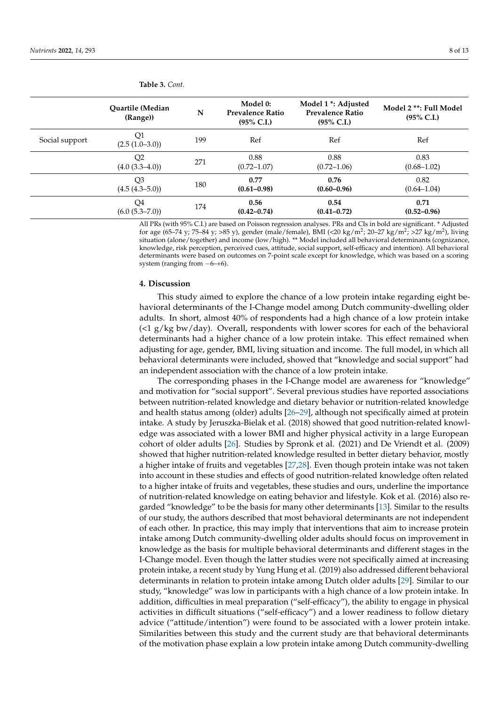|                | Quartile (Median<br>(Range))          | N   | Model 0:<br><b>Prevalence Ratio</b><br>$(95\% \text{ C.I.})$ | Model 1 <sup>*</sup> : Adjusted<br><b>Prevalence Ratio</b><br>$(95\% \text{ C.I.})$ | Model 2 **: Full Model<br>$(95\% \text{ C.I.})$ |
|----------------|---------------------------------------|-----|--------------------------------------------------------------|-------------------------------------------------------------------------------------|-------------------------------------------------|
| Social support | Q1<br>$(2.5 (1.0-3.0))$               | 199 | Ref                                                          | Ref                                                                                 | Ref                                             |
|                | Q <sub>2</sub><br>$(4.0 (3.3 - 4.0))$ | 271 | 0.88<br>$(0.72 - 1.07)$                                      | 0.88<br>$(0.72 - 1.06)$                                                             | 0.83<br>$(0.68 - 1.02)$                         |
|                | Q <sub>3</sub><br>$(4.5 (4.3 - 5.0))$ | 180 | 0.77<br>$(0.61 - 0.98)$                                      | 0.76<br>$(0.60 - 0.96)$                                                             | 0.82<br>$(0.64 - 1.04)$                         |
|                | Q4<br>(6.0 (5.3–7.0))                 | 174 | 0.56<br>$(0.42 - 0.74)$                                      | 0.54<br>$(0.41 - 0.72)$                                                             | 0.71<br>$(0.52 - 0.96)$                         |

**Table 3.** *Cont.*

All PRs (with 95% C.I.) are based on Poisson regression analyses. PRs and CIs in bold are significant. \* Adjusted for age (65–74 y; 75–84 y; >85 y), gender (male/female), BMI (<20 kg/m<sup>2</sup>; 20–27 kg/m<sup>2</sup>; >27 kg/m<sup>2</sup>), living situation (alone/together) and income (low/high). \*\* Model included all behavioral determinants (cognizance, knowledge, risk perception, perceived cues, attitude, social support, self-efficacy and intention). All behavioral determinants were based on outcomes on 7-point scale except for knowledge, which was based on a scoring system (ranging from  $-6$ –+6).

## **4. Discussion**

This study aimed to explore the chance of a low protein intake regarding eight behavioral determinants of the I-Change model among Dutch community-dwelling older adults. In short, almost 40% of respondents had a high chance of a low protein intake  $\left(\langle 1 \right| g/kg$  bw/day). Overall, respondents with lower scores for each of the behavioral determinants had a higher chance of a low protein intake. This effect remained when adjusting for age, gender, BMI, living situation and income. The full model, in which all behavioral determinants were included, showed that "knowledge and social support" had an independent association with the chance of a low protein intake.

The corresponding phases in the I-Change model are awareness for "knowledge" and motivation for "social support". Several previous studies have reported associations between nutrition-related knowledge and dietary behavior or nutrition-related knowledge and health status among (older) adults [\[26–](#page-11-8)[29\]](#page-11-9), although not specifically aimed at protein intake. A study by Jeruszka-Bielak et al. (2018) showed that good nutrition-related knowledge was associated with a lower BMI and higher physical activity in a large European cohort of older adults [\[26\]](#page-11-8). Studies by Spronk et al. (2021) and De Vriendt et al. (2009) showed that higher nutrition-related knowledge resulted in better dietary behavior, mostly a higher intake of fruits and vegetables [\[27](#page-11-10)[,28\]](#page-11-11). Even though protein intake was not taken into account in these studies and effects of good nutrition-related knowledge often related to a higher intake of fruits and vegetables, these studies and ours, underline the importance of nutrition-related knowledge on eating behavior and lifestyle. Kok et al. (2016) also regarded "knowledge" to be the basis for many other determinants [\[13\]](#page-11-0). Similar to the results of our study, the authors described that most behavioral determinants are not independent of each other. In practice, this may imply that interventions that aim to increase protein intake among Dutch community-dwelling older adults should focus on improvement in knowledge as the basis for multiple behavioral determinants and different stages in the I-Change model. Even though the latter studies were not specifically aimed at increasing protein intake, a recent study by Yung Hung et al. (2019) also addressed different behavioral determinants in relation to protein intake among Dutch older adults [\[29\]](#page-11-9). Similar to our study, "knowledge" was low in participants with a high chance of a low protein intake. In addition, difficulties in meal preparation ("self-efficacy"), the ability to engage in physical activities in difficult situations ("self-efficacy") and a lower readiness to follow dietary advice ("attitude/intention") were found to be associated with a lower protein intake. Similarities between this study and the current study are that behavioral determinants of the motivation phase explain a low protein intake among Dutch community-dwelling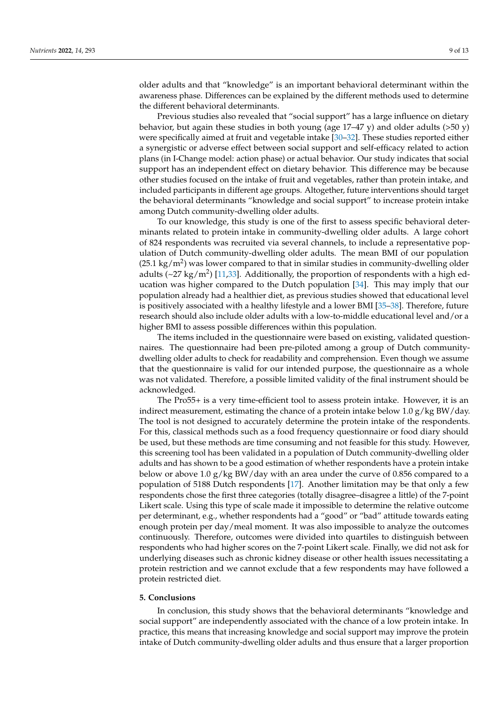older adults and that "knowledge" is an important behavioral determinant within the awareness phase. Differences can be explained by the different methods used to determine the different behavioral determinants.

Previous studies also revealed that "social support" has a large influence on dietary behavior, but again these studies in both young (age  $17-47$  y) and older adults (>50 y) were specifically aimed at fruit and vegetable intake [\[30–](#page-11-12)[32\]](#page-11-13). These studies reported either a synergistic or adverse effect between social support and self-efficacy related to action plans (in I-Change model: action phase) or actual behavior. Our study indicates that social support has an independent effect on dietary behavior. This difference may be because other studies focused on the intake of fruit and vegetables, rather than protein intake, and included participants in different age groups. Altogether, future interventions should target the behavioral determinants "knowledge and social support" to increase protein intake among Dutch community-dwelling older adults.

To our knowledge, this study is one of the first to assess specific behavioral determinants related to protein intake in community-dwelling older adults. A large cohort of 824 respondents was recruited via several channels, to include a representative population of Dutch community-dwelling older adults. The mean BMI of our population  $(25.1 \text{ kg/m}^2)$  was lower compared to that in similar studies in community-dwelling older adults ( $\sim$ 27 kg/m<sup>2</sup>) [\[11](#page-10-9)[,33\]](#page-11-14). Additionally, the proportion of respondents with a high ed-ucation was higher compared to the Dutch population [\[34\]](#page-11-15). This may imply that our population already had a healthier diet, as previous studies showed that educational level is positively associated with a healthy lifestyle and a lower BMI [\[35](#page-11-16)[–38\]](#page-11-17). Therefore, future research should also include older adults with a low-to-middle educational level and/or a higher BMI to assess possible differences within this population.

The items included in the questionnaire were based on existing, validated questionnaires. The questionnaire had been pre-piloted among a group of Dutch communitydwelling older adults to check for readability and comprehension. Even though we assume that the questionnaire is valid for our intended purpose, the questionnaire as a whole was not validated. Therefore, a possible limited validity of the final instrument should be acknowledged.

The Pro55+ is a very time-efficient tool to assess protein intake. However, it is an indirect measurement, estimating the chance of a protein intake below 1.0  $g/kg BW/day$ . The tool is not designed to accurately determine the protein intake of the respondents. For this, classical methods such as a food frequency questionnaire or food diary should be used, but these methods are time consuming and not feasible for this study. However, this screening tool has been validated in a population of Dutch community-dwelling older adults and has shown to be a good estimation of whether respondents have a protein intake below or above 1.0  $g/kg$  BW/day with an area under the curve of 0.856 compared to a population of 5188 Dutch respondents [\[17\]](#page-11-3). Another limitation may be that only a few respondents chose the first three categories (totally disagree–disagree a little) of the 7-point Likert scale. Using this type of scale made it impossible to determine the relative outcome per determinant, e.g., whether respondents had a "good" or "bad" attitude towards eating enough protein per day/meal moment. It was also impossible to analyze the outcomes continuously. Therefore, outcomes were divided into quartiles to distinguish between respondents who had higher scores on the 7-point Likert scale. Finally, we did not ask for underlying diseases such as chronic kidney disease or other health issues necessitating a protein restriction and we cannot exclude that a few respondents may have followed a protein restricted diet.

## **5. Conclusions**

In conclusion, this study shows that the behavioral determinants "knowledge and social support" are independently associated with the chance of a low protein intake. In practice, this means that increasing knowledge and social support may improve the protein intake of Dutch community-dwelling older adults and thus ensure that a larger proportion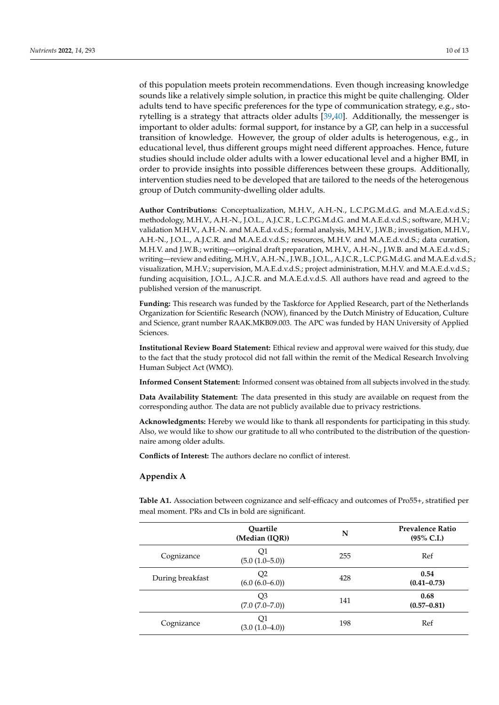of this population meets protein recommendations. Even though increasing knowledge sounds like a relatively simple solution, in practice this might be quite challenging. Older adults tend to have specific preferences for the type of communication strategy, e.g., storytelling is a strategy that attracts older adults [\[39,](#page-12-0)[40\]](#page-12-1). Additionally, the messenger is important to older adults: formal support, for instance by a GP, can help in a successful transition of knowledge. However, the group of older adults is heterogenous, e.g., in educational level, thus different groups might need different approaches. Hence, future studies should include older adults with a lower educational level and a higher BMI, in order to provide insights into possible differences between these groups. Additionally, intervention studies need to be developed that are tailored to the needs of the heterogenous group of Dutch community-dwelling older adults.

**Author Contributions:** Conceptualization, M.H.V., A.H.-N., L.C.P.G.M.d.G. and M.A.E.d.v.d.S.; methodology, M.H.V., A.H.-N., J.O.L., A.J.C.R., L.C.P.G.M.d.G. and M.A.E.d.v.d.S.; software, M.H.V.; validation M.H.V., A.H.-N. and M.A.E.d.v.d.S.; formal analysis, M.H.V., J.W.B.; investigation, M.H.V., A.H.-N., J.O.L., A.J.C.R. and M.A.E.d.v.d.S.; resources, M.H.V. and M.A.E.d.v.d.S.; data curation, M.H.V. and J.W.B.; writing—original draft preparation, M.H.V., A.H.-N., J.W.B. and M.A.E.d.v.d.S.; writing—review and editing, M.H.V., A.H.-N., J.W.B., J.O.L., A.J.C.R., L.C.P.G.M.d.G. and M.A.E.d.v.d.S.; visualization, M.H.V.; supervision, M.A.E.d.v.d.S.; project administration, M.H.V. and M.A.E.d.v.d.S.; funding acquisition, J.O.L., A.J.C.R. and M.A.E.d.v.d.S. All authors have read and agreed to the published version of the manuscript.

**Funding:** This research was funded by the Taskforce for Applied Research, part of the Netherlands Organization for Scientific Research (NOW), financed by the Dutch Ministry of Education, Culture and Science, grant number RAAK.MKB09.003. The APC was funded by HAN University of Applied **Sciences** 

**Institutional Review Board Statement:** Ethical review and approval were waived for this study, due to the fact that the study protocol did not fall within the remit of the Medical Research Involving Human Subject Act (WMO).

**Informed Consent Statement:** Informed consent was obtained from all subjects involved in the study.

**Data Availability Statement:** The data presented in this study are available on request from the corresponding author. The data are not publicly available due to privacy restrictions.

**Acknowledgments:** Hereby we would like to thank all respondents for participating in this study. Also, we would like to show our gratitude to all who contributed to the distribution of the questionnaire among older adults.

**Conflicts of Interest:** The authors declare no conflict of interest.

## <span id="page-9-0"></span>**Appendix A**

<span id="page-9-1"></span>**Table A1.** Association between cognizance and self-efficacy and outcomes of Pro55+, stratified per meal moment. PRs and CIs in bold are significant.

|                  | Quartile<br>(Median (IQR))            | N   | <b>Prevalence Ratio</b><br>$(95\% \text{ C.I.})$ |
|------------------|---------------------------------------|-----|--------------------------------------------------|
| Cognizance       | Q1<br>$(5.0 (1.0 - 5.0))$             | 255 | Ref                                              |
| During breakfast | Q <sub>2</sub><br>$(6.0 (6.0 - 6.0))$ | 428 | 0.54<br>$(0.41 - 0.73)$                          |
|                  | Q <sub>3</sub><br>(7.0 (7.0–7.0))     | 141 | 0.68<br>$(0.57 - 0.81)$                          |
| Cognizance       | Q1<br>$(3.0 (1.0 - 4.0))$             | 198 | Ref                                              |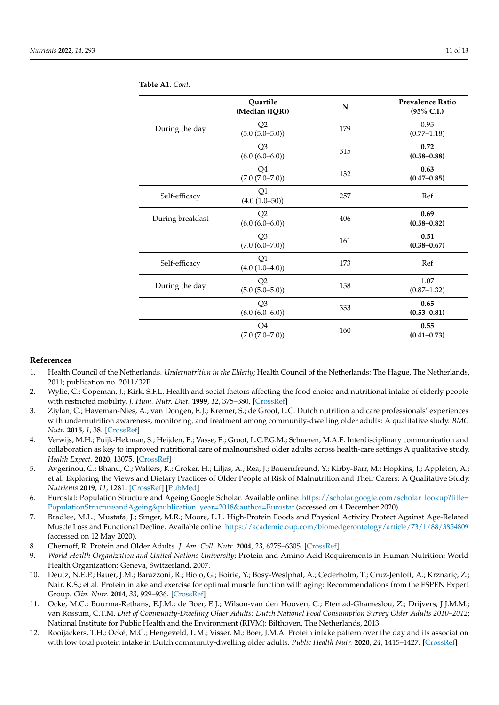|                  | Quartile<br>(Median (IQR))            | N   | <b>Prevalence Ratio</b><br>(95% C.I.) |
|------------------|---------------------------------------|-----|---------------------------------------|
| During the day   | Q2<br>$(5.0 (5.0 - 5.0))$             | 179 | 0.95<br>$(0.77 - 1.18)$               |
|                  | Q <sub>3</sub><br>$(6.0 (6.0 - 6.0))$ | 315 | 0.72<br>$(0.58 - 0.88)$               |
|                  | Q4<br>$(7.0 (7.0 - 7.0))$             | 132 | 0.63<br>$(0.47 - 0.85)$               |
| Self-efficacy    | Q1<br>$(4.0 (1.0 - 50))$              | 257 | Ref                                   |
| During breakfast | Q2<br>$(6.0 (6.0 - 6.0))$             | 406 | 0.69<br>$(0.58 - 0.82)$               |
|                  | Q <sub>3</sub><br>(7.0 (6.0–7.0))     | 161 | 0.51<br>$(0.38 - 0.67)$               |
| Self-efficacy    | Q1<br>$(4.0 (1.0 - 4.0))$             | 173 | Ref                                   |
| During the day   | Q2<br>$(5.0 (5.0 - 5.0))$             | 158 | 1.07<br>$(0.87 - 1.32)$               |
|                  | Q <sub>3</sub><br>$(6.0 (6.0 - 6.0))$ | 333 | 0.65<br>$(0.53 - 0.81)$               |
|                  | Q4<br>$(7.0 (7.0 - 7.0))$             | 160 | 0.55<br>$(0.41 - 0.73)$               |

**Table A1.** *Cont.*

## **References**

- <span id="page-10-0"></span>1. Health Council of the Netherlands. *Undernutrition in the Elderly*; Health Council of the Netherlands: The Hague, The Netherlands, 2011; publication no. 2011/32E.
- <span id="page-10-1"></span>2. Wylie, C.; Copeman, J.; Kirk, S.F.L. Health and social factors affecting the food choice and nutritional intake of elderly people with restricted mobility. *J. Hum. Nutr. Diet.* **1999**, *12*, 375–380. [\[CrossRef\]](http://doi.org/10.1046/j.1365-277x.1999.00177.x)
- <span id="page-10-2"></span>3. Ziylan, C.; Haveman-Nies, A.; van Dongen, E.J.; Kremer, S.; de Groot, L.C. Dutch nutrition and care professionals' experiences with undernutrition awareness, monitoring, and treatment among community-dwelling older adults: A qualitative study. *BMC Nutr.* **2015**, *1*, 38. [\[CrossRef\]](http://doi.org/10.1186/s40795-015-0034-6)
- 4. Verwijs, M.H.; Puijk-Hekman, S.; Heijden, E.; Vasse, E.; Groot, L.C.P.G.M.; Schueren, M.A.E. Interdisciplinary communication and collaboration as key to improved nutritional care of malnourished older adults across health-care settings A qualitative study. *Health Expect.* **2020**, 13075. [\[CrossRef\]](http://doi.org/10.1111/hex.13075)
- <span id="page-10-3"></span>5. Avgerinou, C.; Bhanu, C.; Walters, K.; Croker, H.; Liljas, A.; Rea, J.; Bauernfreund, Y.; Kirby-Barr, M.; Hopkins, J.; Appleton, A.; et al. Exploring the Views and Dietary Practices of Older People at Risk of Malnutrition and Their Carers: A Qualitative Study. *Nutrients* **2019**, *11*, 1281. [\[CrossRef\]](http://doi.org/10.3390/nu11061281) [\[PubMed\]](http://www.ncbi.nlm.nih.gov/pubmed/31195731)
- <span id="page-10-4"></span>6. Eurostat: Population Structure and Ageing Google Scholar. Available online: [https://scholar.google.com/scholar\\_lookup?title=](https://scholar.google.com/scholar_lookup?title=Population Structure and Ageing&publication_year=2018&author=Eurostat) [PopulationStructureandAgeing&publication\\_year=2018&author=Eurostat](https://scholar.google.com/scholar_lookup?title=Population Structure and Ageing&publication_year=2018&author=Eurostat) (accessed on 4 December 2020).
- <span id="page-10-5"></span>7. Bradlee, M.L.; Mustafa, J.; Singer, M.R.; Moore, L.L. High-Protein Foods and Physical Activity Protect Against Age-Related Muscle Loss and Functional Decline. Available online: <https://academic.oup.com/biomedgerontology/article/73/1/88/3854809> (accessed on 12 May 2020).
- <span id="page-10-6"></span>8. Chernoff, R. Protein and Older Adults. *J. Am. Coll. Nutr.* **2004**, *23*, 627S–630S. [\[CrossRef\]](http://doi.org/10.1080/07315724.2004.10719434)
- <span id="page-10-7"></span>9. *World Health Organization and United Nations University*; Protein and Amino Acid Requirements in Human Nutrition; World Health Organization: Geneva, Switzerland, 2007.
- <span id="page-10-8"></span>10. Deutz, N.E.P.; Bauer, J.M.; Barazzoni, R.; Biolo, G.; Boirie, Y.; Bosy-Westphal, A.; Cederholm, T.; Cruz-Jentoft, A.; Krznariç, Z.; Nair, K.S.; et al. Protein intake and exercise for optimal muscle function with aging: Recommendations from the ESPEN Expert Group. *Clin. Nutr.* **2014**, *33*, 929–936. [\[CrossRef\]](http://doi.org/10.1016/j.clnu.2014.04.007)
- <span id="page-10-9"></span>11. Ocke, M.C.; Buurma-Rethans, E.J.M.; de Boer, E.J.; Wilson-van den Hooven, C.; Etemad-Ghameslou, Z.; Drijvers, J.J.M.M.; van Rossum, C.T.M. *Diet of Community-Dwelling Older Adults: Dutch National Food Consumption Survey Older Adults 2010–2012*; National Institute for Public Health and the Environment (RIVM): Bilthoven, The Netherlands, 2013.
- <span id="page-10-10"></span>12. Rooijackers, T.H.; Ocké, M.C.; Hengeveld, L.M.; Visser, M.; Boer, J.M.A. Protein intake pattern over the day and its association with low total protein intake in Dutch community-dwelling older adults. *Public Health Nutr.* **2020**, *24*, 1415–1427. [\[CrossRef\]](http://doi.org/10.1017/S1368980020000026)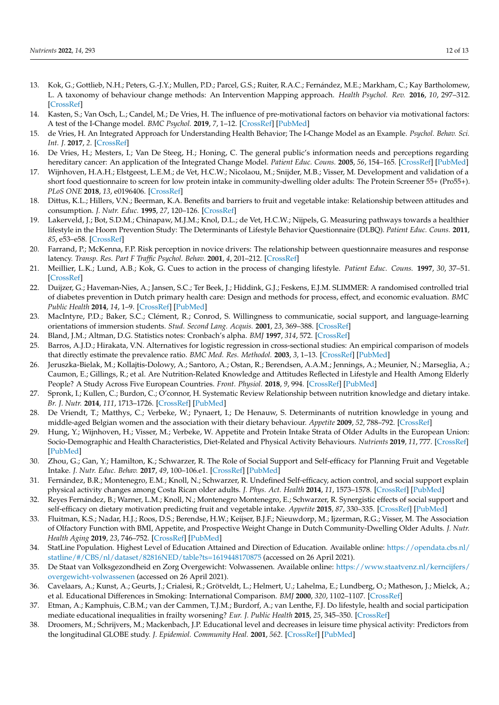- <span id="page-11-0"></span>13. Kok, G.; Gottlieb, N.H.; Peters, G.-J.Y.; Mullen, P.D.; Parcel, G.S.; Ruiter, R.A.C.; Fernández, M.E.; Markham, C.; Kay Bartholomew, L. A taxonomy of behaviour change methods: An Intervention Mapping approach. *Health Psychol. Rev.* **2016**, *10*, 297–312. [\[CrossRef\]](http://doi.org/10.1080/17437199.2015.1077155)
- <span id="page-11-1"></span>14. Kasten, S.; Van Osch, L.; Candel, M.; De Vries, H. The influence of pre-motivational factors on behavior via motivational factors: A test of the I-Change model. *BMC Psychol.* **2019**, *7*, 1–12. [\[CrossRef\]](http://doi.org/10.1186/s40359-019-0283-2) [\[PubMed\]](http://www.ncbi.nlm.nih.gov/pubmed/30786921)
- 15. de Vries, H. An Integrated Approach for Understanding Health Behavior; The I-Change Model as an Example. *Psychol. Behav. Sci. Int. J.* **2017**, *2*. [\[CrossRef\]](http://doi.org/10.19080/PBSIJ.2017.02.555585)
- <span id="page-11-2"></span>16. De Vries, H.; Mesters, I.; Van De Steeg, H.; Honing, C. The general public's information needs and perceptions regarding hereditary cancer: An application of the Integrated Change Model. *Patient Educ. Couns.* **2005**, *56*, 154–165. [\[CrossRef\]](http://doi.org/10.1016/j.pec.2004.01.002) [\[PubMed\]](http://www.ncbi.nlm.nih.gov/pubmed/15653244)
- <span id="page-11-3"></span>17. Wijnhoven, H.A.H.; Elstgeest, L.E.M.; de Vet, H.C.W.; Nicolaou, M.; Snijder, M.B.; Visser, M. Development and validation of a short food questionnaire to screen for low protein intake in community-dwelling older adults: The Protein Screener 55+ (Pro55+). *PLoS ONE* **2018**, *13*, e0196406. [\[CrossRef\]](http://doi.org/10.1371/journal.pone.0196406)
- <span id="page-11-4"></span>18. Dittus, K.L.; Hillers, V.N.; Beerman, K.A. Benefits and barriers to fruit and vegetable intake: Relationship between attitudes and consumption. *J. Nutr. Educ.* **1995**, *27*, 120–126. [\[CrossRef\]](http://doi.org/10.1016/S0022-3182(12)80802-8)
- 19. Lakerveld, J.; Bot, S.D.M.; Chinapaw, M.J.M.; Knol, D.L.; de Vet, H.C.W.; Nijpels, G. Measuring pathways towards a healthier lifestyle in the Hoorn Prevention Study: The Determinants of Lifestyle Behavior Questionnaire (DLBQ). *Patient Educ. Couns.* **2011**, *85*, e53–e58. [\[CrossRef\]](http://doi.org/10.1016/j.pec.2011.01.014)
- 20. Farrand, P.; McKenna, F.P. Risk perception in novice drivers: The relationship between questionnaire measures and response latency. *Transp. Res. Part F Traffic Psychol. Behav.* **2001**, *4*, 201–212. [\[CrossRef\]](http://doi.org/10.1016/S1369-8478(01)00024-9)
- 21. Meillier, L.K.; Lund, A.B.; Kok, G. Cues to action in the process of changing lifestyle. *Patient Educ. Couns.* **1997**, *30*, 37–51. [\[CrossRef\]](http://doi.org/10.1016/S0738-3991(96)00957-3)
- 22. Duijzer, G.; Haveman-Nies, A.; Jansen, S.C.; Ter Beek, J.; Hiddink, G.J.; Feskens, E.J.M. SLIMMER: A randomised controlled trial of diabetes prevention in Dutch primary health care: Design and methods for process, effect, and economic evaluation. *BMC Public Health* **2014**, *14*, 1–9. [\[CrossRef\]](http://doi.org/10.1186/1471-2458-14-602) [\[PubMed\]](http://www.ncbi.nlm.nih.gov/pubmed/24928217)
- <span id="page-11-5"></span>23. MacIntyre, P.D.; Baker, S.C.; Clément, R.; Conrod, S. Willingness to communicatie, social support, and language-learning orientations of immersion students. *Stud. Second Lang. Acquis.* **2001**, *23*, 369–388. [\[CrossRef\]](http://doi.org/10.1017/S0272263101003035)
- <span id="page-11-6"></span>24. Bland, J.M.; Altman, D.G. Statistics notes: Cronbach's alpha. *BMJ* **1997**, *314*, 572. [\[CrossRef\]](http://doi.org/10.1136/bmj.314.7080.572)
- <span id="page-11-7"></span>25. Barros, A.J.D.; Hirakata, V.N. Alternatives for logistic regression in cross-sectional studies: An empirical comparison of models that directly estimate the prevalence ratio. *BMC Med. Res. Methodol.* **2003**, *3*, 1–13. [\[CrossRef\]](http://doi.org/10.1186/1471-2288-3-21) [\[PubMed\]](http://www.ncbi.nlm.nih.gov/pubmed/14567763)
- <span id="page-11-8"></span>26. Jeruszka-Bielak, M.; Kollajtis-Dolowy, A.; Santoro, A.; Ostan, R.; Berendsen, A.A.M.; Jennings, A.; Meunier, N.; Marseglia, A.; Caumon, E.; Gillings, R.; et al. Are Nutrition-Related Knowledge and Attitudes Reflected in Lifestyle and Health Among Elderly People? A Study Across Five European Countries. *Front. Physiol.* **2018**, *9*, 994. [\[CrossRef\]](http://doi.org/10.3389/fphys.2018.00994) [\[PubMed\]](http://www.ncbi.nlm.nih.gov/pubmed/30108512)
- <span id="page-11-10"></span>27. Spronk, I.; Kullen, C.; Burdon, C.; O'connor, H. Systematic Review Relationship between nutrition knowledge and dietary intake. *Br. J. Nutr.* **2014**, *111*, 1713–1726. [\[CrossRef\]](http://doi.org/10.1017/S0007114514000087) [\[PubMed\]](http://www.ncbi.nlm.nih.gov/pubmed/24621991)
- <span id="page-11-11"></span>28. De Vriendt, T.; Matthys, C.; Verbeke, W.; Pynaert, I.; De Henauw, S. Determinants of nutrition knowledge in young and middle-aged Belgian women and the association with their dietary behaviour. *Appetite* **2009**, *52*, 788–792. [\[CrossRef\]](http://doi.org/10.1016/j.appet.2009.02.014)
- <span id="page-11-9"></span>29. Hung, Y.; Wijnhoven, H.; Visser, M.; Verbeke, W. Appetite and Protein Intake Strata of Older Adults in the European Union: Socio-Demographic and Health Characteristics, Diet-Related and Physical Activity Behaviours. *Nutrients* **2019**, *11*, 777. [\[CrossRef\]](http://doi.org/10.3390/nu11040777) [\[PubMed\]](http://www.ncbi.nlm.nih.gov/pubmed/30987278)
- <span id="page-11-12"></span>30. Zhou, G.; Gan, Y.; Hamilton, K.; Schwarzer, R. The Role of Social Support and Self-efficacy for Planning Fruit and Vegetable Intake. *J. Nutr. Educ. Behav.* **2017**, *49*, 100–106.e1. [\[CrossRef\]](http://doi.org/10.1016/j.jneb.2016.09.005) [\[PubMed\]](http://www.ncbi.nlm.nih.gov/pubmed/27780668)
- 31. Fernández, B.R.; Montenegro, E.M.; Knoll, N.; Schwarzer, R. Undefined Self-efficacy, action control, and social support explain physical activity changes among Costa Rican older adults. *J. Phys. Act. Health* **2014**, *11*, 1573–1578. [\[CrossRef\]](http://doi.org/10.1123/jpah.2013-0175) [\[PubMed\]](http://www.ncbi.nlm.nih.gov/pubmed/24733272)
- <span id="page-11-13"></span>32. Reyes Fernández, B.; Warner, L.M.; Knoll, N.; Montenegro Montenegro, E.; Schwarzer, R. Synergistic effects of social support and self-efficacy on dietary motivation predicting fruit and vegetable intake. *Appetite* **2015**, *87*, 330–335. [\[CrossRef\]](http://doi.org/10.1016/j.appet.2014.12.223) [\[PubMed\]](http://www.ncbi.nlm.nih.gov/pubmed/25576023)
- <span id="page-11-14"></span>33. Fluitman, K.S.; Nadar, H.J.; Roos, D.S.; Berendse, H.W.; Keijser, B.J.F.; Nieuwdorp, M.; Ijzerman, R.G.; Visser, M. The Association of Olfactory Function with BMI, Appetite, and Prospective Weight Change in Dutch Community-Dwelling Older Adults. *J. Nutr. Health Aging* **2019**, *23*, 746–752. [\[CrossRef\]](http://doi.org/10.1007/s12603-019-1241-7) [\[PubMed\]](http://www.ncbi.nlm.nih.gov/pubmed/31560033)
- <span id="page-11-15"></span>34. StatLine Population. Highest Level of Education Attained and Direction of Education. Available online: [https://opendata.cbs.nl/](https://opendata.cbs.nl/statline/#/CBS/nl/dataset/82816NED/table?ts=1619448170875) [statline/#/CBS/nl/dataset/82816NED/table?ts=1619448170875](https://opendata.cbs.nl/statline/#/CBS/nl/dataset/82816NED/table?ts=1619448170875) (accessed on 26 April 2021).
- <span id="page-11-16"></span>35. De Staat van Volksgezondheid en Zorg Overgewicht: Volwassenen. Available online: [https://www.staatvenz.nl/kerncijfers/](https://www.staatvenz.nl/kerncijfers/overgewicht-volwassenen) [overgewicht-volwassenen](https://www.staatvenz.nl/kerncijfers/overgewicht-volwassenen) (accessed on 26 April 2021).
- 36. Cavelaars, A.; Kunst, A.; Geurts, J.; Crialesi, R.; Grötveldt, L.; Helmert, U.; Lahelma, E.; Lundberg, O.; Matheson, J.; Mielck, A.; et al. Educational Differences in Smoking: International Comparison. *BMJ* **2000**, *320*, 1102–1107. [\[CrossRef\]](http://doi.org/10.1136/bmj.320.7242.1102)
- 37. Etman, A.; Kamphuis, C.B.M.; van der Cammen, T.J.M.; Burdorf, A.; van Lenthe, F.J. Do lifestyle, health and social participation mediate educational inequalities in frailty worsening? *Eur. J. Public Health* **2015**, *25*, 345–350. [\[CrossRef\]](http://doi.org/10.1093/eurpub/cku093)
- <span id="page-11-17"></span>38. Droomers, M.; Schrijvers, M.; Mackenbach, J.P. Educational level and decreases in leisure time physical activity: Predictors from the longitudinal GLOBE study. *J. Epidemiol. Community Heal.* **2001**, *562*. [\[CrossRef\]](http://doi.org/10.1136/jech.55.8.562) [\[PubMed\]](http://www.ncbi.nlm.nih.gov/pubmed/11449013)